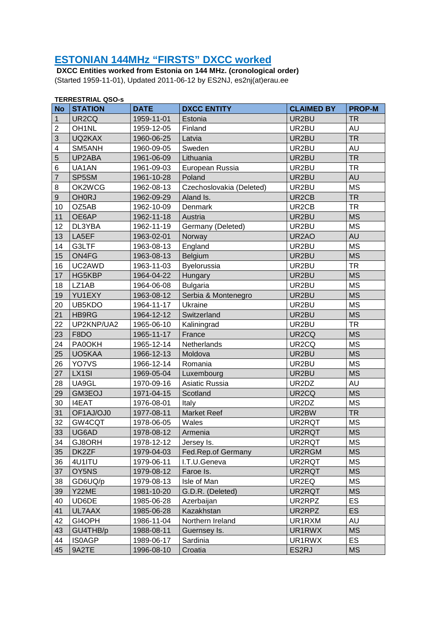## **ESTONIAN 144MHz "FIRSTS" DXCC worked**

 **DXCC Entities worked from Estonia on 144 MHz. (cronological order)**  (Started 1959-11-01), Updated 2011-06-12 by ES2NJ, es2nj(at)erau.ee

|                | <b>TERRESTRIAL QSO-s</b> |             |                          |                    |               |  |  |
|----------------|--------------------------|-------------|--------------------------|--------------------|---------------|--|--|
| <b>No</b>      | <b>STATION</b>           | <b>DATE</b> | <b>DXCC ENTITY</b>       | <b>CLAIMED BY</b>  | <b>PROP-M</b> |  |  |
| 1              | UR2CQ                    | 1959-11-01  | Estonia                  | UR2BU              | <b>TR</b>     |  |  |
| $\overline{2}$ | OH <sub>1</sub> NL       | 1959-12-05  | Finland                  | UR2BU              | <b>AU</b>     |  |  |
| 3              | UQ2KAX                   | 1960-06-25  | Latvia                   | UR2BU              | <b>TR</b>     |  |  |
| 4              | SM5ANH                   | 1960-09-05  | Sweden                   | UR2BU              | AU            |  |  |
| 5              | UP2ABA                   | 1961-06-09  | Lithuania                | UR2BU              | <b>TR</b>     |  |  |
| 6              | UA1AN                    | 1961-09-03  | European Russia          | UR2BU              | <b>TR</b>     |  |  |
| $\overline{7}$ | SP5SM                    | 1961-10-28  | Poland                   | UR2BU              | <b>AU</b>     |  |  |
| 8              | OK2WCG                   | 1962-08-13  | Czechoslovakia (Deleted) | UR2BU              | <b>MS</b>     |  |  |
| 9              | <b>OH0RJ</b>             | 1962-09-29  | Aland Is.                | UR2CB              | <b>TR</b>     |  |  |
| 10             | OZ5AB                    | 1962-10-09  | Denmark                  | UR2CB              | <b>TR</b>     |  |  |
| 11             | OE6AP                    | 1962-11-18  | Austria                  | UR2BU              | <b>MS</b>     |  |  |
| 12             | DL3YBA                   | 1962-11-19  | Germany (Deleted)        | UR2BU              | <b>MS</b>     |  |  |
| 13             | LA5EF                    | 1963-02-01  | Norway                   | UR <sub>2</sub> AO | <b>AU</b>     |  |  |
| 14             | G3LTF                    | 1963-08-13  | England                  | UR2BU              | <b>MS</b>     |  |  |
| 15             | ON4FG                    | 1963-08-13  | Belgium                  | UR2BU              | <b>MS</b>     |  |  |
| 16             | UC2AWD                   | 1963-11-03  | Byelorussia              | UR2BU              | <b>TR</b>     |  |  |
| 17             | HG5KBP                   | 1964-04-22  | Hungary                  | UR2BU              | <b>MS</b>     |  |  |
| 18             | LZ1AB                    | 1964-06-08  | <b>Bulgaria</b>          | UR2BU              | <b>MS</b>     |  |  |
| 19             | YU1EXY                   | 1963-08-12  | Serbia & Montenegro      | UR2BU              | <b>MS</b>     |  |  |
| 20             | UB5KDO                   | 1964-11-17  | Ukraine                  | UR2BU              | <b>MS</b>     |  |  |
| 21             | HB9RG                    | 1964-12-12  | Switzerland              | UR2BU              | <b>MS</b>     |  |  |
| 22             | UP2KNP/UA2               | 1965-06-10  | Kaliningrad              | UR2BU              | <b>TR</b>     |  |  |
| 23             | F8DO                     | 1965-11-17  | France                   | UR <sub>2</sub> CQ | <b>MS</b>     |  |  |
| 24             | <b>PA0OKH</b>            | 1965-12-14  | Netherlands              | UR2CQ              | <b>MS</b>     |  |  |
| 25             | UO5KAA                   | 1966-12-13  | Moldova                  | UR2BU              | <b>MS</b>     |  |  |
| 26             | YO7VS                    | 1966-12-14  | Romania                  | UR2BU              | <b>MS</b>     |  |  |
| 27             | LX1SI                    | 1969-05-04  | Luxembourg               | UR2BU              | <b>MS</b>     |  |  |
| 28             | UA9GL                    | 1970-09-16  | Asiatic Russia           | UR2DZ              | AU            |  |  |
| 29             | GM3EOJ                   | 1971-04-15  | Scotland                 | UR2CQ              | <b>MS</b>     |  |  |
| 30             | <b>I4EAT</b>             | 1976-08-01  | Italy                    | UR2DZ              | <b>MS</b>     |  |  |
| 31             | OF1AJ/OJ0                | 1977-08-11  | <b>Market Reef</b>       | UR2BW              | <b>TR</b>     |  |  |
| 32             | GW4CQT                   | 1978-06-05  | Wales                    | UR2RQT             | <b>MS</b>     |  |  |
| 33             | UG6AD                    | 1978-08-12  | Armenia                  | UR2RQT             | <b>MS</b>     |  |  |
| 34             | GJ8ORH                   | 1978-12-12  | Jersey Is.               | UR2RQT             | <b>MS</b>     |  |  |
| 35             | DK2ZF                    | 1979-04-03  | Fed.Rep.of Germany       | UR2RGM             | <b>MS</b>     |  |  |
| 36             | 4U1ITU                   | 1979-06-11  | I.T.U.Geneva             | UR2RQT             | MS            |  |  |
| 37             | OY5NS                    | 1979-08-12  | Faroe Is.                | UR2RQT             | <b>MS</b>     |  |  |
| 38             | GD6UQ/p                  | 1979-08-13  | Isle of Man              | UR2EQ              | <b>MS</b>     |  |  |
| 39             | Y22ME                    | 1981-10-20  | G.D.R. (Deleted)         | UR2RQT             | <b>MS</b>     |  |  |
| 40             | UD6DE                    | 1985-06-28  | Azerbaijan               | UR2RPZ             | ES            |  |  |
| 41             | UL7AAX                   | 1985-06-28  | Kazakhstan               | UR2RPZ             | ES            |  |  |
| 42             | GI4OPH                   | 1986-11-04  | Northern Ireland         | UR1RXM             | AU            |  |  |
| 43             | GU4THB/p                 | 1988-08-11  | Guernsey Is.             | UR1RWX             | <b>MS</b>     |  |  |
| 44             | <b>IS0AGP</b>            | 1989-06-17  | Sardinia                 | UR1RWX             | <b>ES</b>     |  |  |
| 45             | 9A2TE                    | 1996-08-10  | Croatia                  | ES2RJ              | <b>MS</b>     |  |  |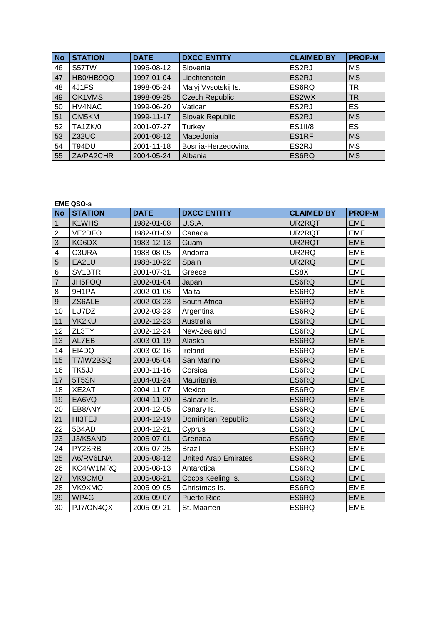| <b>No</b> | <b>STATION</b> | <b>DATE</b> | <b>DXCC ENTITY</b>    | <b>CLAIMED BY</b> | <b>PROP-M</b> |
|-----------|----------------|-------------|-----------------------|-------------------|---------------|
| 46        | S57TW          | 1996-08-12  | Slovenia              | ES2RJ             | MS            |
| 47        | HB0/HB9QQ      | 1997-01-04  | Liechtenstein         | ES2RJ             | <b>MS</b>     |
| 48        | 4J1FS          | 1998-05-24  | Malyj Vysotskij Is.   | ES6RQ             | ΤR            |
| 49        | OK1VMS         | 1998-09-25  | <b>Czech Republic</b> | ES2WX             | <b>TR</b>     |
| 50        | HV4NAC         | 1999-06-20  | Vatican               | ES2RJ             | ES            |
| 51        | OM5KM          | 1999-11-17  | Slovak Republic       | ES2RJ             | <b>MS</b>     |
| 52        | TA1ZK/0        | 2001-07-27  | Turkey                | <b>ES1II/8</b>    | ES            |
| 53        | Z32UC          | 2001-08-12  | Macedonia             | ES1RF             | <b>MS</b>     |
| 54        | T94DU          | 2001-11-18  | Bosnia-Herzegovina    | ES2RJ             | <b>MS</b>     |
| 55        | ZA/PA2CHR      | 2004-05-24  | Albania               | ES6RQ             | <b>MS</b>     |

## **EME QSO-s**

| <b>No</b>               | <b>STATION</b> | <b>DATE</b> | <b>DXCC ENTITY</b>          | <b>CLAIMED BY</b> | <b>PROP-M</b> |
|-------------------------|----------------|-------------|-----------------------------|-------------------|---------------|
| $\mathbf{1}$            | K1WHS          | 1982-01-08  | U.S.A.                      | UR2RQT            | <b>EME</b>    |
| $\overline{2}$          | VE2DFO         | 1982-01-09  | Canada                      | UR2RQT            | <b>EME</b>    |
| $\overline{3}$          | KG6DX          | 1983-12-13  | Guam                        | UR2RQT            | <b>EME</b>    |
| $\overline{\mathbf{4}}$ | C3URA          | 1988-08-05  | Andorra                     | UR2RQ             | <b>EME</b>    |
| 5                       | EA2LU          | 1988-10-22  | Spain                       | UR2RQ             | <b>EME</b>    |
| 6                       | SV1BTR         | 2001-07-31  | Greece                      | ES8X              | <b>EME</b>    |
| $\overline{7}$          | JH5FOQ         | 2002-01-04  | Japan                       | ES6RQ             | <b>EME</b>    |
| 8                       | 9H1PA          | 2002-01-06  | Malta                       | ES6RQ             | <b>EME</b>    |
| $\mathsf 9$             | ZS6ALE         | 2002-03-23  | South Africa                | ES6RQ             | <b>EME</b>    |
| 10                      | LU7DZ          | 2002-03-23  | Argentina                   | ES6RQ             | <b>EME</b>    |
| 11                      | <b>VK2KU</b>   | 2002-12-23  | Australia                   | ES6RQ             | <b>EME</b>    |
| 12                      | ZL3TY          | 2002-12-24  | New-Zealand                 | ES6RQ             | <b>EME</b>    |
| 13                      | AL7EB          | 2003-01-19  | Alaska                      | ES6RQ             | <b>EME</b>    |
| 14                      | EI4DQ          | 2003-02-16  | Ireland                     | ES6RQ             | <b>EME</b>    |
| 15                      | T7/IW2BSQ      | 2003-05-04  | San Marino                  | ES6RQ             | <b>EME</b>    |
| 16                      | TK5JJ          | 2003-11-16  | Corsica                     | ES6RQ             | <b>EME</b>    |
| 17                      | 5T5SN          | 2004-01-24  | Mauritania                  | ES6RQ             | <b>EME</b>    |
| 18                      | XE2AT          | 2004-11-07  | Mexico                      | ES6RQ             | <b>EME</b>    |
| 19                      | EA6VQ          | 2004-11-20  | Balearic Is.                | ES6RQ             | <b>EME</b>    |
| 20                      | EB8ANY         | 2004-12-05  | Canary Is.                  | ES6RQ             | <b>EME</b>    |
| 21                      | HI3TEJ         | 2004-12-19  | Dominican Republic          | ES6RQ             | <b>EME</b>    |
| 22                      | 5B4AD          | 2004-12-21  | Cyprus                      | ES6RQ             | <b>EME</b>    |
| 23                      | J3/K5AND       | 2005-07-01  | Grenada                     | ES6RQ             | <b>EME</b>    |
| 24                      | PY2SRB         | 2005-07-25  | <b>Brazil</b>               | ES6RQ             | <b>EME</b>    |
| 25                      | A6/RV6LNA      | 2005-08-12  | <b>United Arab Emirates</b> | ES6RQ             | <b>EME</b>    |
| 26                      | KC4/W1MRQ      | 2005-08-13  | Antarctica                  | ES6RQ             | <b>EME</b>    |
| 27                      | VK9CMO         | 2005-08-21  | Cocos Keeling Is.           | ES6RQ             | <b>EME</b>    |
| 28                      | VK9XMO         | 2005-09-05  | Christmas Is.               | ES6RQ             | <b>EME</b>    |
| 29                      | WP4G           | 2005-09-07  | Puerto Rico                 | ES6RQ             | <b>EME</b>    |
| 30                      | PJ7/ON4QX      | 2005-09-21  | St. Maarten                 | ES6RQ             | <b>EME</b>    |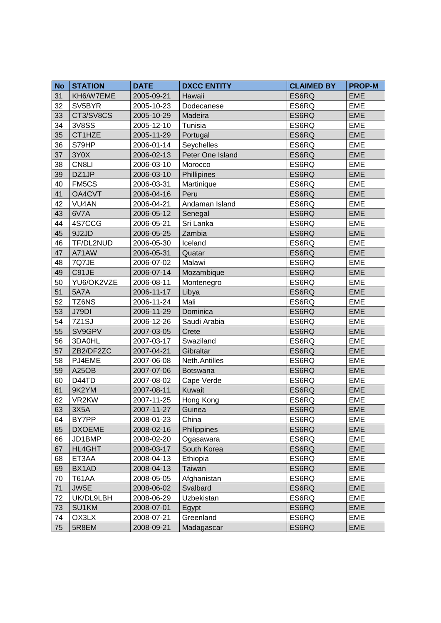| <b>No</b> | <b>STATION</b>     | <b>DATE</b> | <b>DXCC ENTITY</b> | <b>CLAIMED BY</b> | <b>PROP-M</b> |
|-----------|--------------------|-------------|--------------------|-------------------|---------------|
| 31        | KH6/W7EME          | 2005-09-21  | Hawaii             | ES6RQ             | <b>EME</b>    |
| 32        | SV5BYR             | 2005-10-23  | Dodecanese         | ES6RQ             | <b>EME</b>    |
| 33        | CT3/SV8CS          | 2005-10-29  | Madeira            | ES6RQ             | <b>EME</b>    |
| 34        | <b>3V8SS</b>       | 2005-12-10  | Tunisia            | ES6RQ             | <b>EME</b>    |
| 35        | CT1HZE             | 2005-11-29  | Portugal           | ES6RQ             | <b>EME</b>    |
| 36        | S79HP              | 2006-01-14  | Seychelles         | ES6RQ             | <b>EME</b>    |
| 37        | 3Y0X               | 2006-02-13  | Peter One Island   | ES6RQ             | <b>EME</b>    |
| 38        | CN8LI              | 2006-03-10  | Morocco            | ES6RQ             | <b>EME</b>    |
| 39        | DZ1JP              | 2006-03-10  | Phillipines        | ES6RQ             | <b>EME</b>    |
| 40        | FM5CS              | 2006-03-31  | Martinique         | ES6RQ             | <b>EME</b>    |
| 41        | OA4CVT             | 2006-04-16  | Peru               | ES6RQ             | <b>EME</b>    |
| 42        | VU <sub>4</sub> AN | 2006-04-21  | Andaman Island     | ES6RQ             | <b>EME</b>    |
| 43        | 6V7A               | 2006-05-12  | Senegal            | ES6RQ             | <b>EME</b>    |
| 44        | 4S7CCG             | 2006-05-21  | Sri Lanka          | ES6RQ             | <b>EME</b>    |
| 45        | 9J2JD              | 2006-05-25  | Zambia             | ES6RQ             | <b>EME</b>    |
| 46        | TF/DL2NUD          | 2006-05-30  | Iceland            | ES6RQ             | <b>EME</b>    |
| 47        | A71AW              | 2006-05-31  | Quatar             | ES6RQ             | <b>EME</b>    |
| 48        | 7Q7JE              | 2006-07-02  | Malawi             | ES6RQ             | <b>EME</b>    |
| 49        | C91JE              | 2006-07-14  | Mozambique         | ES6RQ             | <b>EME</b>    |
| 50        | YU6/OK2VZE         | 2006-08-11  | Montenegro         | ES6RQ             | <b>EME</b>    |
| 51        | <b>5A7A</b>        | 2006-11-17  | Libya              | ES6RQ             | <b>EME</b>    |
| 52        | TZ6NS              | 2006-11-24  | Mali               | ES6RQ             | <b>EME</b>    |
| 53        | <b>J79DI</b>       | 2006-11-29  | Dominica           | ES6RQ             | <b>EME</b>    |
| 54        | 7Z1SJ              | 2006-12-26  | Saudi Arabia       | ES6RQ             | <b>EME</b>    |
| 55        | SV9GPV             | 2007-03-05  | Crete              | ES6RQ             | <b>EME</b>    |
| 56        | 3DA0HL             | 2007-03-17  | Swaziland          | ES6RQ             | <b>EME</b>    |
| 57        | ZB2/DF2ZC          | 2007-04-21  | Gibraltar          | ES6RQ             | <b>EME</b>    |
| 58        | PJ4EME             | 2007-06-08  | Neth.Antilles      | ES6RQ             | <b>EME</b>    |
| 59        | <b>A25OB</b>       | 2007-07-06  | <b>Botswana</b>    | ES6RQ             | <b>EME</b>    |
| 60        | D44TD              | 2007-08-02  | Cape Verde         | ES6RQ             | <b>EME</b>    |
| 61        | 9K2YM              | 2007-08-11  | Kuwait             | ES6RQ             | <b>EME</b>    |
| 62        | VR2KW              | 2007-11-25  | Hong Kong          | ES6RQ             | <b>EME</b>    |
| 63        | 3X5A               | 2007-11-27  | Guinea             | ES6RQ             | <b>EME</b>    |
| 64        | BY7PP              | 2008-01-23  | China              | ES6RQ             | <b>EME</b>    |
| 65        | <b>DXOEME</b>      | 2008-02-16  | Philippines        | ES6RQ             | <b>EME</b>    |
| 66        | JD1BMP             | 2008-02-20  | Ogasawara          | ES6RQ             | <b>EME</b>    |
| 67        | HL4GHT             | 2008-03-17  | South Korea        | ES6RQ             | <b>EME</b>    |
| 68        | ET3AA              | 2008-04-13  | Ethiopia           | ES6RQ             | <b>EME</b>    |
| 69        | BX1AD              | 2008-04-13  | Taiwan             | ES6RQ             | <b>EME</b>    |
| 70        | <b>T61AA</b>       | 2008-05-05  | Afghanistan        | ES6RQ             | <b>EME</b>    |
| 71        | JW5E               | 2008-06-02  | Svalbard           | ES6RQ             | <b>EME</b>    |
| 72        | UK/DL9LBH          | 2008-06-29  | Uzbekistan         | ES6RQ             | <b>EME</b>    |
| 73        | SU1KM              | 2008-07-01  | Egypt              | ES6RQ             | <b>EME</b>    |
| 74        | OX3LX              | 2008-07-21  | Greenland          | ES6RQ             | <b>EME</b>    |
| 75        | 5R8EM              | 2008-09-21  | Madagascar         | ES6RQ             | EME           |